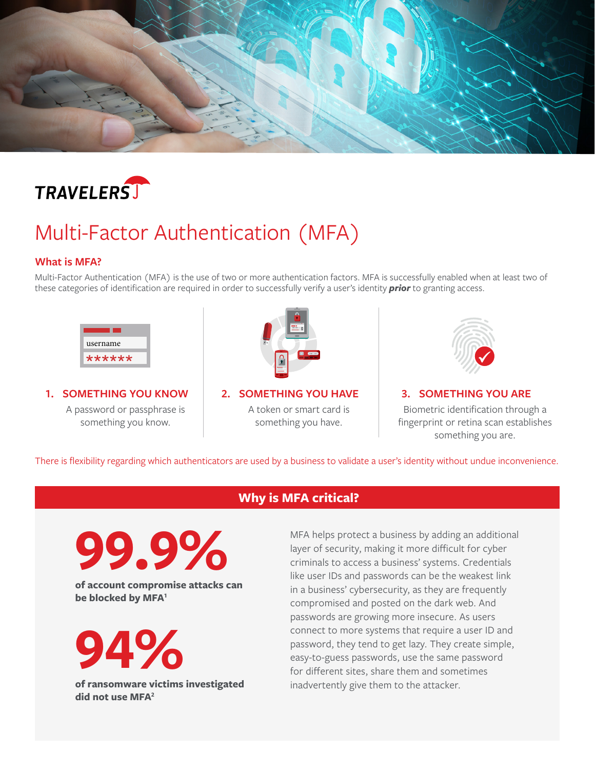<span id="page-0-0"></span>



# Multi-Factor Authentication (MFA)

#### **What is MFA?**

Multi-Factor Authentication (MFA) is the use of two or more authentication factors. MFA is successfully enabled when at least two of these categories of identification are required in order to successfully verify a user's identity *prior* to granting access.



**1. SOMETHING YOU KNOW**

A password or passphrase is something you know.



**2. SOMETHING YOU HAVE** A token or smart card is something you have.



### **3. SOMETHING YOU ARE** Biometric identification through a fingerprint or retina scan establishes something you are.

There is flexibility regarding which authenticators are used by a business to validate a user's identity without undue inconvenience.

## ,, **Why is MFA critical?**

**99.9%**

**of account compromise attacks can be blocked by MFA[1](#page-1-0)**

**94%**

**of ransomware victims investigated did not use MFA[2](#page-1-0)**

MFA helps protect a business by adding an additional layer of security, making it more difficult for cyber criminals to access a business' systems. Credentials like user IDs and passwords can be the weakest link in a business' cybersecurity, as they are frequently compromised and posted on the dark web. And passwords are growing more insecure. As users connect to more systems that require a user ID and password, they tend to get lazy. They create simple, easy-to-guess passwords, use the same password for different sites, share them and sometimes inadvertently give them to the attacker.